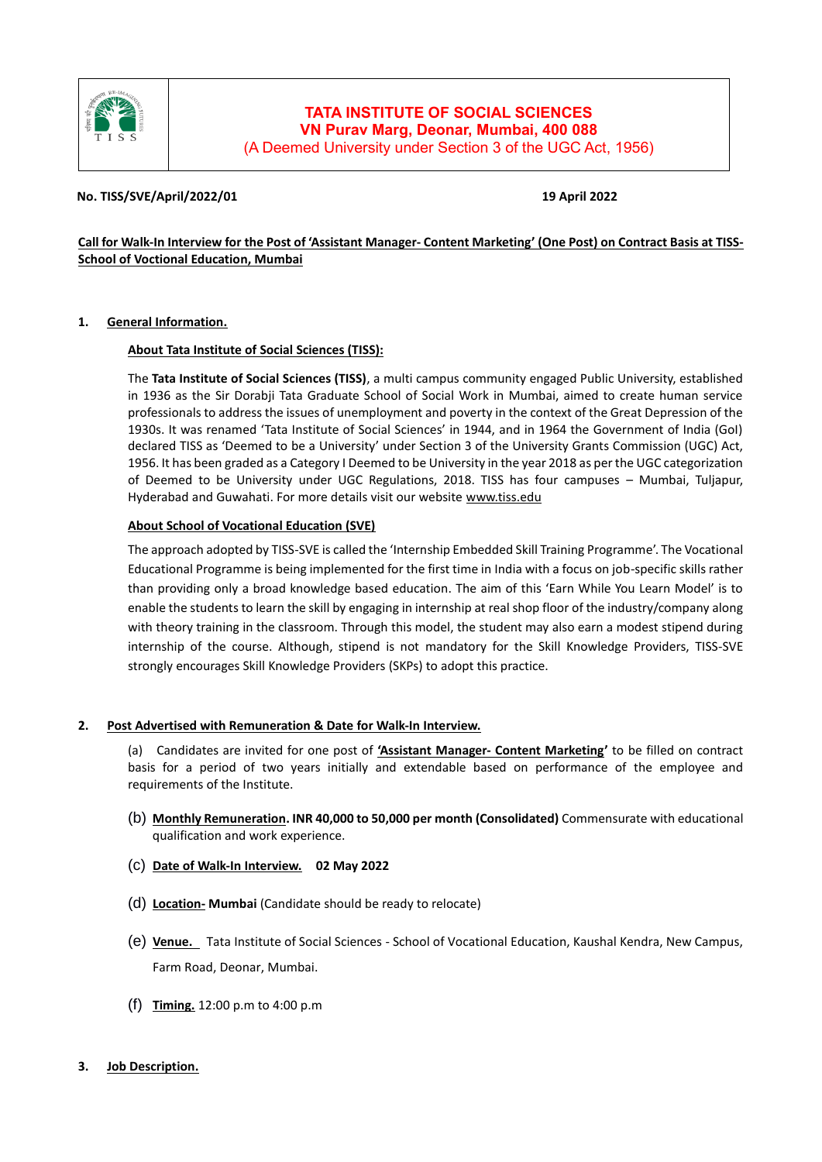

# **TATA INSTITUTE OF SOCIAL SCIENCES VN Purav Marg, Deonar, Mumbai, 400 088** (A Deemed University under Section 3 of the UGC Act, 1956)

# **No. TISS/SVE/April/2022/01 19 April 2022**

# **Call for Walk-In Interview for the Post of 'Assistant Manager- Content Marketing' (One Post) on Contract Basis at TISS-School of Voctional Education, Mumbai**

### **1. General Information.**

### **About Tata Institute of Social Sciences (TISS):**

The **Tata Institute of Social Sciences (TISS)**, a multi campus community engaged Public University, established in 1936 as the Sir Dorabji Tata Graduate School of Social Work in Mumbai, aimed to create human service professionals to address the issues of unemployment and poverty in the context of the Great Depression of the 1930s. It was renamed 'Tata Institute of Social Sciences' in 1944, and in 1964 the Government of India (GoI) declared TISS as 'Deemed to be a University' under Section 3 of the University Grants Commission (UGC) Act, 1956. It has been graded as a Category I Deemed to be University in the year 2018 as per the UGC categorization of Deemed to be University under UGC Regulations, 2018. TISS has four campuses – Mumbai, Tuljapur, Hyderabad and Guwahati. For more details visit our website [www.tiss.edu](http://www.tiss.edu/)

# **About School of Vocational Education (SVE)**

The approach adopted by TISS-SVE is called the 'Internship Embedded Skill Training Programme'. The Vocational Educational Programme is being implemented for the first time in India with a focus on job-specific skills rather than providing only a broad knowledge based education. The aim of this 'Earn While You Learn Model' is to enable the students to learn the skill by engaging in internship at real shop floor of the industry/company along with theory training in the classroom. Through this model, the student may also earn a modest stipend during internship of the course. Although, stipend is not mandatory for the Skill Knowledge Providers, TISS-SVE strongly encourages Skill Knowledge Providers (SKPs) to adopt this practice.

### **2. Post Advertised with Remuneration & Date for Walk-In Interview.**

(a) Candidates are invited for one post of **'Assistant Manager- Content Marketing'** to be filled on contract basis for a period of two years initially and extendable based on performance of the employee and requirements of the Institute.

- (b) **Monthly Remuneration. INR 40,000 to 50,000 per month (Consolidated)** Commensurate with educational qualification and work experience.
- (c) **Date of Walk-In Interview. 02 May 2022**
- (d) **Location- Mumbai** (Candidate should be ready to relocate)
- (e) **Venue.** Tata Institute of Social Sciences School of Vocational Education, Kaushal Kendra, New Campus, Farm Road, Deonar, Mumbai.
- (f) **Timing.** 12:00 p.m to 4:00 p.m
- **3. Job Description.**